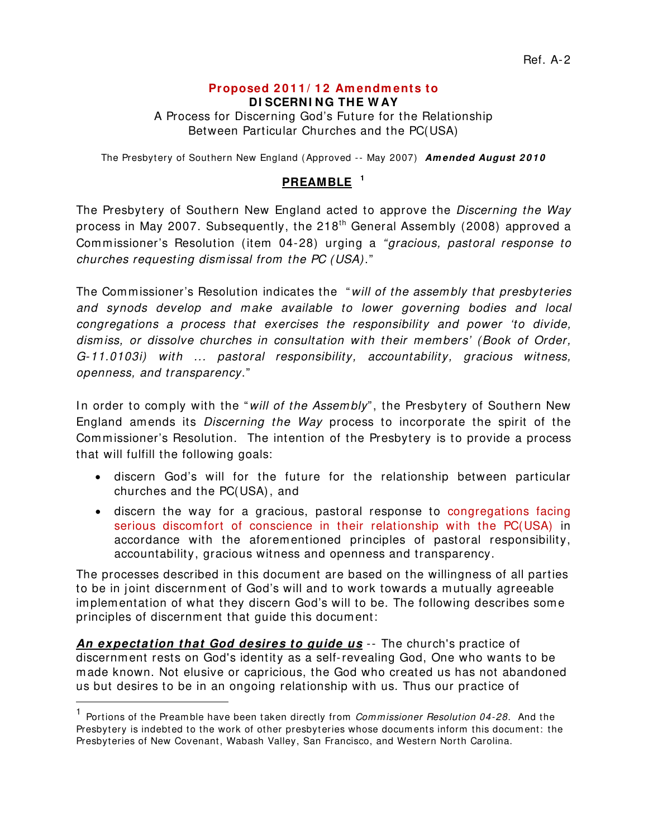# **Proposed 2 0 1 1 / 1 2 Am endm ents to**

**DI SCERNI NG THE W AY**

A Process for Discerning God's Future for the Relationship Between Particular Churches and the PC(USA)

The Presbytery of Southern New England (Approved -- May 2007) Amended August 2010

### **PREAMBLE [1](#page-0-0)**

The Presbytery of Southern New England acted to approve the *Discerning the Way*  process in May 2007. Subsequently, the 218<sup>th</sup> General Assembly (2008) approved a Commissioner's Resolution (item 04-28) urging a *"gracious, pastoral response to churches requesting dism issal from the PC (USA)*."

The Commissioner's Resolution indicates the "*will of the assem bly that presbyteries and synods develop and m ake available to lower governing bodies and local congregations a process that exercises the responsibility and power 'to divide, dism iss, or dissolve churches in consultation with their m em bers' (Book of Order, G-11.0103i) with ... pastoral responsibility, accountability, gracious witness, openness, and transparency*."

In order to comply with the "*will of the Assembly*", the Presbytery of Southern New England amends its *Discerning the Way* process to incorporate the spirit of the Commissioner's Resolution. The intention of the Presbytery is to provide a process that will fulfill the following goals:

- discern God's will for the future for the relationship between particular churches and the PC(USA), and
- discern the way for a gracious, pastoral response to congregations facing serious discomfort of conscience in their relationship with the PC(USA) in accordance with the aforementioned principles of pastoral responsibility, accountability, gracious witness and openness and transparency.

The processes described in this document are based on the willingness of all parties to be in joint discernment of God's will and to work towards a mutually agreeable implementation of what they discern God's will to be. The following describes some principles of discernm ent that guide this document:

**An expectation that God desires to guide us** -- The church's practice of discernment rests on God's identity as a self-revealing God, One who wants to be made known. Not elusive or capricious, the God who created us has not abandoned us but desires to be in an ongoing relationship with us. Thus our practice of l

<span id="page-0-0"></span><sup>&</sup>lt;sup>1</sup> Portions of the Preamble have been taken directly from *Commissioner Resolution 04-28*. And the Presbytery is indebted to the work of other presbyteries whose documents inform this document: the Presbyteries of New Covenant, Wabash Valley, San Francisco, and Western North Carolina.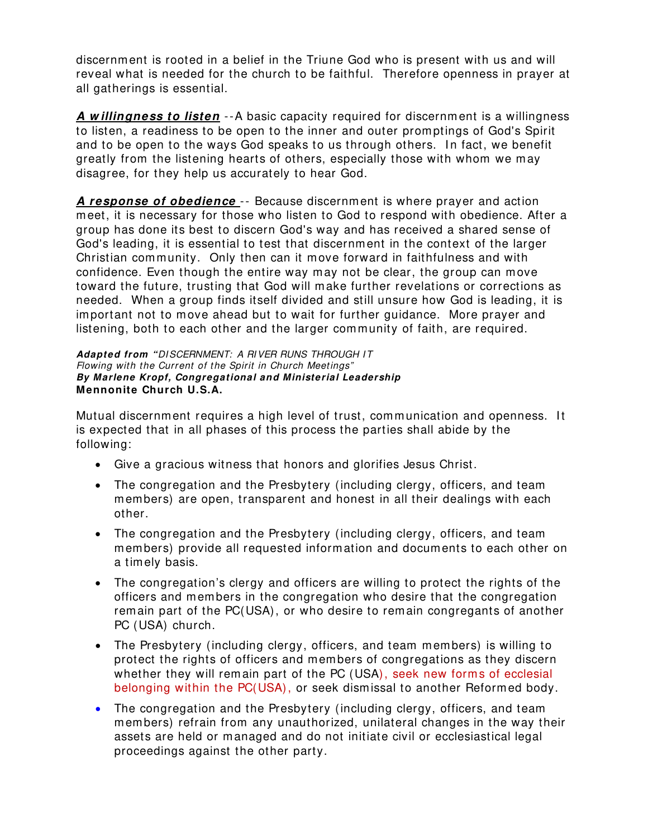discernment is rooted in a belief in the Triune God who is present with us and will reveal what is needed for the church to be faithful. Therefore openness in prayer at all gatherings is essential.

**A w illingness to listen** --A basic capacity required for discernm ent is a willingness to listen, a readiness to be open to the inner and outer promptings of God's Spirit and to be open to the ways God speaks to us through others. I n fact, we benefit greatly from the listening hearts of others, especially those with whom we may disagree, for they help us accurately to hear God.

**A response of obedience** -- Because discernment is where prayer and action meet, it is necessary for those who listen to God to respond with obedience. After a group has done its best to discern God's way and has received a shared sense of God's leading, it is essential to test that discernment in the context of the larger Christian community. Only then can it move forward in faithfulness and with confidence. Even though the entire way may not be clear, the group can move toward the future, trusting that God will make further revelations or corrections as needed. When a group finds itself divided and still unsure how God is leading, it is important not to move ahead but to wait for further guidance. More prayer and listening, both to each other and the larger community of faith, are required.

#### **Adapted from "***DI SCERNMENT: A RI VER RUNS THROUGH I T Flowing with the Current of the Spirit in Church Meetings"* **By Marlene Kropf, Congregational and Ministerial Leadership Mennonite Church U.S.A.**

Mutual discernment requires a high level of trust, communication and openness. I t is expected that in all phases of this process the parties shall abide by the following:

- Give a gracious witness that honors and glorifies Jesus Christ.
- The congregation and the Presbytery (including clergy, officers, and team members) are open, transparent and honest in all their dealings with each other.
- The congregation and the Presbytery (including clergy, officers, and team members) provide all requested information and documents to each other on a timely basis.
- The congregation's clergy and officers are willing to protect the rights of the officers and members in the congregation who desire that the congregation remain part of the PC(USA), or who desire to remain congregants of another PC (USA) church.
- The Presbytery (including clergy, officers, and team members) is willing to protect the rights of officers and members of congregations as they discern whether they will rem ain part of the PC (USA), seek new forms of ecclesial belonging within the PC(USA), or seek dismissal to another Reformed body.
- The congregation and the Presbytery (including clergy, officers, and team members) refrain from any unauthorized, unilateral changes in the way their assets are held or managed and do not initiate civil or ecclesiastical legal proceedings against the other party.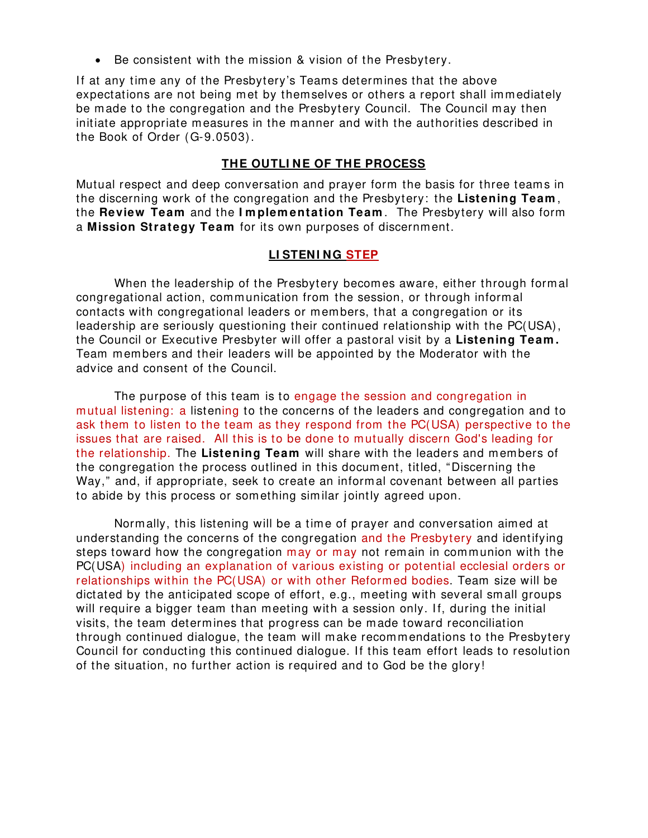• Be consistent with the mission & vision of the Presbytery.

If at any time any of the Presbytery's Teams determines that the above expectations are not being met by themselves or others a report shall immediately be made to the congregation and the Presbytery Council. The Council m ay then initiate appropriate measures in the manner and with the authorities described in the Book of Order (G-9.0503).

#### **THE OUTLI NE OF THE PROCESS**

Mutual respect and deep conversation and prayer form the basis for three teams in the discerning work of the congregation and the Presbytery: the **Listening Team** , the **Review Team** and the **I m plem entation Team** . The Presbytery will also form a **Mission Strategy Team** for its own purposes of discernment.

#### **LI STENI NG STEP**

When the leadership of the Presbytery becomes aware, either through formal congregational action, communication from the session, or through informal contacts with congregational leaders or members, that a congregation or its leadership are seriously questioning their continued relationship with the PC(USA), the Council or Executive Presbyter will offer a pastoral visit by a **Listening Team .**  Team members and their leaders will be appointed by the Moderator with the advice and consent of the Council.

The purpose of this team is to engage the session and congregation in mutual listening: a listening to the concerns of the leaders and congregation and to ask them to listen to the team as they respond from the PC(USA) perspective to the issues that are raised. All this is to be done to mutually discern God's leading for the relationship. The **Listening Team** will share with the leaders and members of the congregation the process outlined in this document, titled, "Discerning the Way," and, if appropriate, seek to create an informal covenant between all parties to abide by this process or something sim ilar jointly agreed upon.

Normally, this listening will be a time of prayer and conversation aimed at understanding the concerns of the congregation and the Presbytery and identifying steps toward how the congregation may or may not remain in communion with the PC(USA) including an explanation of various existing or potential ecclesial orders or relationships within the PC(USA) or with other Reformed bodies. Team size will be dictated by the anticipated scope of effort, e.g., meeting with several small groups will require a bigger team than meeting with a session only. If, during the initial visits, the team determines that progress can be made toward reconciliation through continued dialogue, the team will make recommendations to the Presbytery Council for conducting this continued dialogue. If this team effort leads to resolution of the situation, no further action is required and to God be the glory!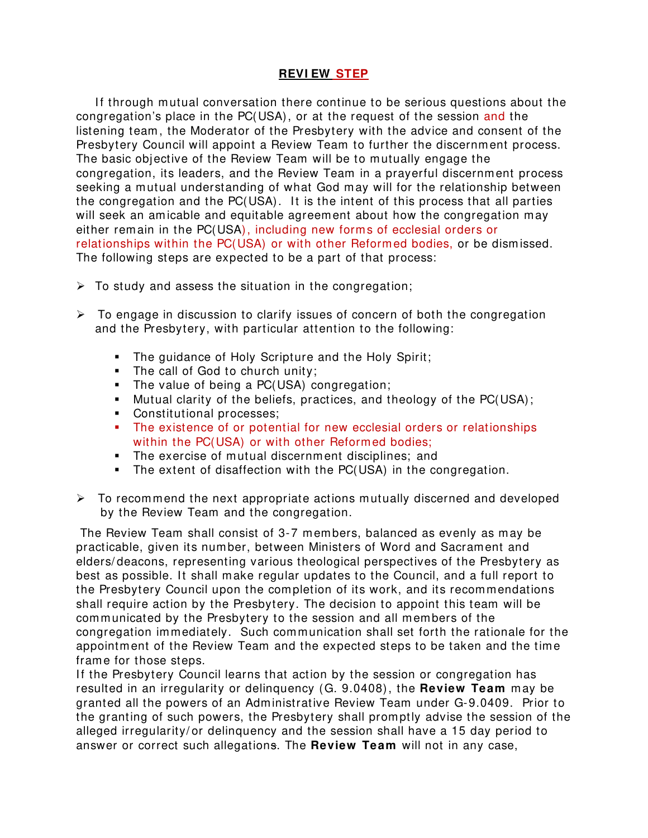#### **REVI EW STEP**

If through mutual conversation there continue to be serious questions about the congregation's place in the PC(USA), or at the request of the session and the listening team , the Moderator of the Presbytery with the advice and consent of the Presbytery Council will appoint a Review Team to further the discernment process. The basic objective of the Review Team will be to mutually engage the congregation, its leaders, and the Review Team in a prayerful discernment process seeking a mutual understanding of what God may will for the relationship between the congregation and the PC(USA). It is the intent of this process that all parties will seek an amicable and equitable agreement about how the congregation may either remain in the PC(USA), including new forms of ecclesial orders or relationships within the PC(USA) or with other Reformed bodies, or be dism issed. The following steps are expected to be a part of that process:

- $\triangleright$  To study and assess the situation in the congregation;
- $\triangleright$  To engage in discussion to clarify issues of concern of both the congregation and the Presbytery, with particular attention to the following:
	- **The guidance of Holy Scripture and the Holy Spirit;**
	- The call of God to church unity;
	- The value of being a PC(USA) congregation;
	- Mutual clarity of the beliefs, practices, and theology of the PC(USA);
	- **Constitutional processes;**
	- The existence of or potential for new ecclesial orders or relationships within the PC(USA) or with other Reformed bodies;
	- The exercise of mutual discernment disciplines; and
	- The extent of disaffection with the PC(USA) in the congregation.
- $\triangleright$  To recommend the next appropriate actions mutually discerned and developed by the Review Team and the congregation.

The Review Team shall consist of 3-7 members, balanced as evenly as may be practicable, given its number, between Ministers of Word and Sacrament and elders/ deacons, representing various theological perspectives of the Presbytery as best as possible. It shall make regular updates to the Council, and a full report to the Presbytery Council upon the completion of its work, and its recommendations shall require action by the Presbytery. The decision to appoint this team will be communicated by the Presbytery to the session and all members of the congregation immediately. Such communication shall set forth the rationale for the appointment of the Review Team and the expected steps to be taken and the time frame for those steps.

If the Presbytery Council learns that action by the session or congregation has resulted in an irregularity or delinquency (G. 9.0408), the **Review Team** may be granted all the powers of an Administrative Review Team under G-9.0409. Prior to the granting of such powers, the Presbytery shall promptly advise the session of the alleged irregularity/ or delinquency and the session shall have a 15 day period to answer or correct such allegations. The **Review Team** will not in any case,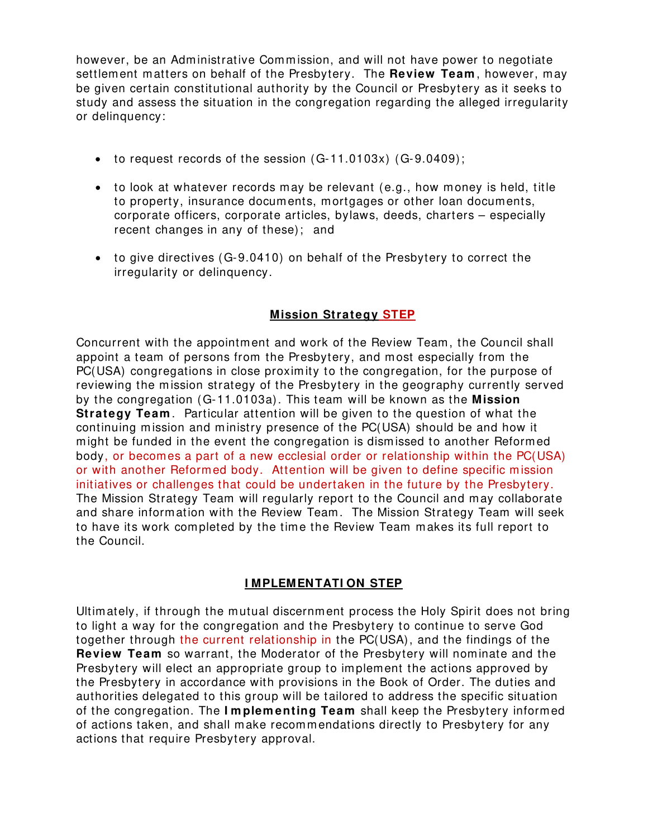however, be an Administrative Comm ission, and will not have power to negotiate settlement matters on behalf of the Presbytery. The **Review Team** , however, may be given certain constitutional authority by the Council or Presbytery as it seeks to study and assess the situation in the congregation regarding the alleged irregularity or delinquency:

- to request records of the session (G-11.0103x) (G-9.0409);
- to look at whatever records may be relevant (e.g., how money is held, title to property, insurance documents, mortgages or other loan documents, corporate officers, corporate articles, bylaws, deeds, charters – especially recent changes in any of these); and
- to give directives (G-9.0410) on behalf of the Presbytery to correct the irregularity or delinquency.

# **Mission Strategy STEP**

Concurrent with the appointment and work of the Review Team, the Council shall appoint a team of persons from the Presbytery, and most especially from the PC(USA) congregations in close proxim ity to the congregation, for the purpose of reviewing the mission strategy of the Presbytery in the geography currently served by the congregation (G-11.0103a). This team will be known as the **Mission Strategy Team**. Particular attention will be given to the question of what the continuing mission and ministry presence of the PC(USA) should be and how it might be funded in the event the congregation is dism issed to another Reformed body, or becomes a part of a new ecclesial order or relationship within the PC(USA) or with another Reformed body. Attention will be given to define specific m ission initiatives or challenges that could be undertaken in the future by the Presbytery. The Mission Strategy Team will regularly report to the Council and may collaborate and share information with the Review Team. The Mission Strategy Team will seek to have its work completed by the time the Review Team makes its full report to the Council.

## **I MPLEMENTATI ON STEP**

Ultimately, if through the mutual discernment process the Holy Spirit does not bring to light a way for the congregation and the Presbytery to continue to serve God together through the current relationship in the PC(USA), and the findings of the **Review Team** so warrant, the Moderator of the Presbytery will nominate and the Presbytery will elect an appropriate group to implement the actions approved by the Presbytery in accordance with provisions in the Book of Order. The duties and authorities delegated to this group will be tailored to address the specific situation of the congregation. The **I m plem enting Team** shall keep the Presbytery informed of actions taken, and shall make recommendations directly to Presbytery for any actions that require Presbytery approval.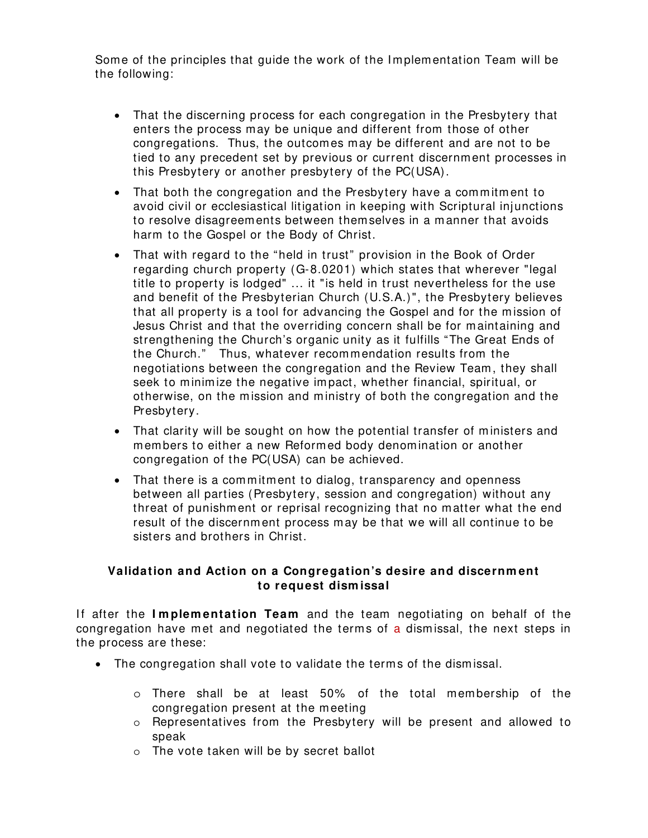Some of the principles that guide the work of the I mplementation Team will be the following:

- That the discerning process for each congregation in the Presbytery that enters the process may be unique and different from those of other congregations. Thus, the outcomes may be different and are not to be tied to any precedent set by previous or current discernment processes in this Presbytery or another presbytery of the PC(USA).
- That both the congregation and the Presbytery have a commitment to avoid civil or ecclesiastical litigation in keeping with Scriptural injunctions to resolve disagreements between themselves in a manner that avoids harm to the Gospel or the Body of Christ.
- That with regard to the "held in trust" provision in the Book of Order regarding church property (G-8.0201) which states that wherever "legal title to property is lodged" ... it "is held in trust nevertheless for the use and benefit of the Presbyterian Church (U.S.A.)", the Presbytery believes that all property is a tool for advancing the Gospel and for the m ission of Jesus Christ and that the overriding concern shall be for maintaining and strengthening the Church's organic unity as it fulfills "The Great Ends of the Church." Thus, whatever recommendation results from the negotiations between the congregation and the Review Team, they shall seek to minim ize the negative im pact, whether financial, spiritual, or otherwise, on the mission and ministry of both the congregation and the Presbytery.
- That clarity will be sought on how the potential transfer of ministers and members to either a new Reformed body denomination or another congregation of the PC(USA) can be achieved.
- That there is a commitment to dialog, transparency and openness between all parties (Presbytery, session and congregation) without any threat of punishment or reprisal recognizing that no matter what the end result of the discernm ent process may be that we will all continue to be sisters and brothers in Christ.

#### **Validation and Action on a Congregation's desire and discernm ent to request dism issal**

If after the Implementation Team and the team negotiating on behalf of the congregation have met and negotiated the terms of a dismissal, the next steps in the process are these:

- The congregation shall vote to validate the terms of the dism issal.
	- o There shall be at least 50% of the total membership of the congregation present at the meeting
	- o Representatives from the Presbytery will be present and allowed to speak
	- o The vote taken will be by secret ballot